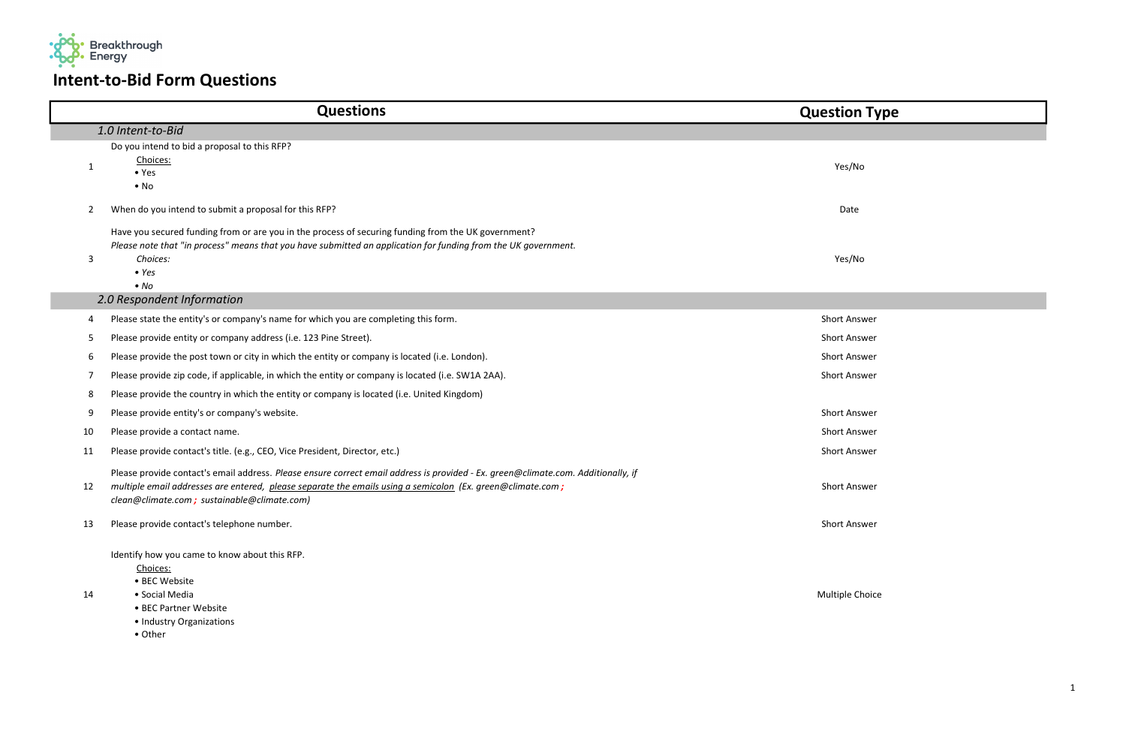| Yes/No              |  |
|---------------------|--|
| Date                |  |
| Yes/No              |  |
|                     |  |
| <b>Short Answer</b> |  |
| Short Answer        |  |
| <b>Short Answer</b> |  |
| Short Answer        |  |
|                     |  |
| Short Answer        |  |
| <b>Short Answer</b> |  |
| Short Answer        |  |
|                     |  |
| <b>Short Answer</b> |  |
| <b>Short Answer</b> |  |
|                     |  |

|    | <b>Questions</b>                                                                                                                                                                                                                                                                               | <b>Question Ty</b>  |
|----|------------------------------------------------------------------------------------------------------------------------------------------------------------------------------------------------------------------------------------------------------------------------------------------------|---------------------|
|    | 1.0 Intent-to-Bid                                                                                                                                                                                                                                                                              |                     |
| 1  | Do you intend to bid a proposal to this RFP?<br>Choices:<br>$\bullet$ Yes<br>$\bullet$ No                                                                                                                                                                                                      | Yes/No              |
| 2  | When do you intend to submit a proposal for this RFP?                                                                                                                                                                                                                                          | Date                |
| 3  | Have you secured funding from or are you in the process of securing funding from the UK government?<br>Please note that "in process" means that you have submitted an application for funding from the UK government.<br>Choices:<br>$\bullet$ Yes<br>$\bullet$ No                             | Yes/No              |
|    | 2.0 Respondent Information                                                                                                                                                                                                                                                                     |                     |
| 4  | Please state the entity's or company's name for which you are completing this form.                                                                                                                                                                                                            | <b>Short Answer</b> |
| 5  | Please provide entity or company address (i.e. 123 Pine Street).                                                                                                                                                                                                                               | <b>Short Answer</b> |
| 6  | Please provide the post town or city in which the entity or company is located (i.e. London).                                                                                                                                                                                                  | <b>Short Answer</b> |
| 7  | Please provide zip code, if applicable, in which the entity or company is located (i.e. SW1A 2AA).                                                                                                                                                                                             | <b>Short Answer</b> |
| 8  | Please provide the country in which the entity or company is located (i.e. United Kingdom)                                                                                                                                                                                                     |                     |
| 9  | Please provide entity's or company's website.                                                                                                                                                                                                                                                  | <b>Short Answer</b> |
| 10 | Please provide a contact name.                                                                                                                                                                                                                                                                 | <b>Short Answer</b> |
| 11 | Please provide contact's title. (e.g., CEO, Vice President, Director, etc.)                                                                                                                                                                                                                    | <b>Short Answer</b> |
| 12 | Please provide contact's email address. Please ensure correct email address is provided - Ex. green@climate.com. Additionally, if<br>multiple email addresses are entered, please separate the emails using a semicolon (Ex. green@climate.com;<br>clean@climate.com; sustainable@climate.com) | <b>Short Answer</b> |
| 13 | Please provide contact's telephone number.                                                                                                                                                                                                                                                     | <b>Short Answer</b> |
| 14 | Identify how you came to know about this RFP.<br>Choices:<br>• BEC Website<br>• Social Media<br>• BEC Partner Website<br>• Industry Organizations<br>• Other                                                                                                                                   | Multiple Choic      |

## estion Type

Multiple Choice



## Intent-to-Bid Form Questions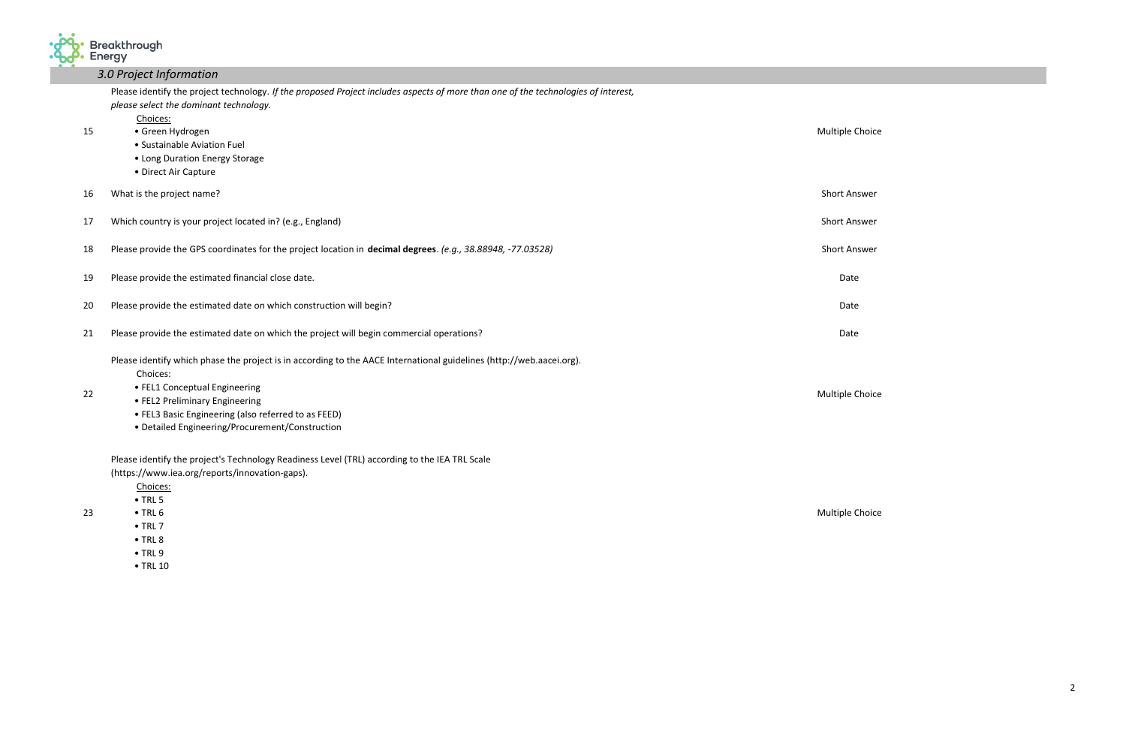

## 3.0 Project Information

|    | Please identify the project technology. If the proposed Project includes aspects of more than one of the technologies of interest,<br>please select the dominant technology. |                     |
|----|------------------------------------------------------------------------------------------------------------------------------------------------------------------------------|---------------------|
| 15 | Choices:<br>• Green Hydrogen                                                                                                                                                 | Multiple Choic      |
|    | • Sustainable Aviation Fuel                                                                                                                                                  |                     |
|    | • Long Duration Energy Storage                                                                                                                                               |                     |
|    | • Direct Air Capture                                                                                                                                                         |                     |
| 16 | What is the project name?                                                                                                                                                    | <b>Short Answer</b> |
| 17 | Which country is your project located in? (e.g., England)                                                                                                                    | <b>Short Answer</b> |
| 18 | Please provide the GPS coordinates for the project location in decimal degrees. (e.g., 38.88948, -77.03528)                                                                  | <b>Short Answer</b> |
| 19 | Please provide the estimated financial close date.                                                                                                                           | Date                |
| 20 | Please provide the estimated date on which construction will begin?                                                                                                          | Date                |
| 21 | Please provide the estimated date on which the project will begin commercial operations?                                                                                     | Date                |
|    | Please identify which phase the project is in according to the AACE International guidelines (http://web.aacei.org).                                                         |                     |
|    | Choices:                                                                                                                                                                     |                     |
| 22 | • FEL1 Conceptual Engineering                                                                                                                                                | Multiple Choic      |
|    | • FEL2 Preliminary Engineering<br>• FEL3 Basic Engineering (also referred to as FEED)                                                                                        |                     |
|    | • Detailed Engineering/Procurement/Construction                                                                                                                              |                     |
|    | Please identify the project's Technology Readiness Level (TRL) according to the IEA TRL Scale                                                                                |                     |
|    | (https://www.iea.org/reports/innovation-gaps).                                                                                                                               |                     |
|    | Choices:                                                                                                                                                                     |                     |
|    | $\bullet$ TRL 5                                                                                                                                                              |                     |
| 23 | $\bullet$ TRL 6                                                                                                                                                              | Multiple Choic      |
|    | $\bullet$ TRL 7                                                                                                                                                              |                     |

 • TRL 8 • TRL 9 • TRL 10

## ultiple Choice

Iultiple Choice

Iultiple Choice